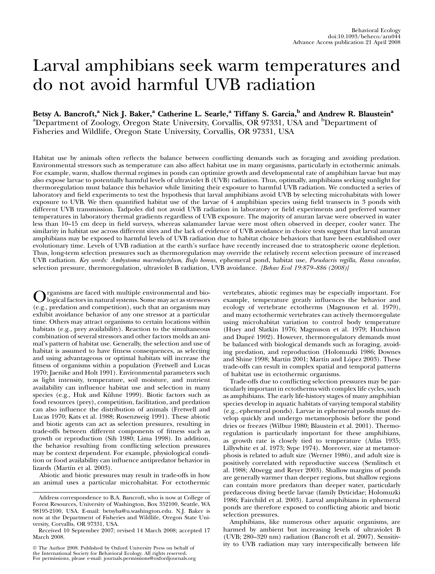# Larval amphibians seek warm temperatures and do not avoid harmful UVB radiation

Betsy A. Bancroft,<sup>a</sup> Nick J. Baker,<sup>a</sup> Catherine L. Searle,<sup>a</sup> Tiffany S. Garcia,<sup>b</sup> and Andrew R. Blaustein<sup>a</sup> <sup>a</sup>Department of Zoology, Oregon State University, Corvallis, OR 97331, USA and <sup>b</sup>Department of Fisheries and Wildlife, Oregon State University, Corvallis, OR 97331, USA

Habitat use by animals often reflects the balance between conflicting demands such as foraging and avoiding predation. Environmental stressors such as temperature can also affect habitat use in many organisms, particularly in ectothermic animals. For example, warm, shallow thermal regimes in ponds can optimize growth and developmental rate of amphibian larvae but may also expose larvae to potentially harmful levels of ultraviolet B (UVB) radiation. Thus, optimally, amphibians seeking sunlight for thermoregulation must balance this behavior while limiting their exposure to harmful UVB radiation. We conducted a series of laboratory and field experiments to test the hypothesis that larval amphibians avoid UVB by selecting microhabitats with lower exposure to UVB. We then quantified habitat use of the larvae of 4 amphibian species using field transects in 3 ponds with different UVB transmission. Tadpoles did not avoid UVB radiation in laboratory or field experiments and preferred warmer temperatures in laboratory thermal gradients regardless of UVB exposure. The majority of anuran larvae were observed in water less than 10–15 cm deep in field surveys, whereas salamander larvae were most often observed in deeper, cooler water. The similarity in habitat use across different sites and the lack of evidence of UVB avoidance in choice tests suggest that larval anuran amphibians may be exposed to harmful levels of UVB radiation due to habitat choice behaviors that have been established over evolutionary time. Levels of UVB radiation at the earth's surface have recently increased due to stratospheric ozone depletion. Thus, long-term selection pressures such as thermoregulation may override the relatively recent selection pressure of increased UVB radiation. Key words: Ambystoma macrodactylum, Bufo boreas, ephemeral pond, habitat use, Pseudacris regilla, Rana cascadae, selection pressure, thermoregulation, ultraviolet B radiation, UVB avoidance. [Behav Ecol 19:879-886 (2008)]

Organisms are faced with multiple environmental and bio-<br>logical factors in natural systems. Some may act as stressors<br>(as a gradition and compatition) and that as a gradition may (e.g., predation and competition), such that an organism may exhibit avoidance behavior of any one stressor at a particular time. Others may attract organisms to certain locations within habitats (e.g., prey availability). Reaction to the simultaneous combination of several stressors and other factors molds an animal's pattern of habitat use. Generally, the selection and use of habitat is assumed to have fitness consequences, as selecting and using advantageous or optimal habitats will increase the fitness of organisms within a population (Fretwell and Lucas 1970; Jaenike and Holt 1991). Environmental parameters such as light intensity, temperature, soil moisture, and nutrient availability can influence habitat use and selection in many species (e.g., Huk and Kühne 1999). Biotic factors such as food resources (prey), competition, facilitation, and predation can also influence the distribution of animals (Fretwell and Lucas 1970; Kats et al. 1988; Rosenzweig 1991). These abiotic and biotic agents can act as selection pressures, resulting in trade-offs between different components of fitness such as growth or reproduction (Sih 1980; Lima 1998). In addition, the behavior resulting from conflicting selection pressures may be context dependent. For example, physiological condition or food availability can influence antipredator behavior in lizards (Martín et al. 2003).

Abiotic and biotic pressures may result in trade-offs in how an animal uses a particular microhabitat. For ectothermic

 The Author 2008. Published by Oxford University Press on behalf of the International Society for Behavioral Ecology. All rights reserved. For permissions, please e-mail: journals.permissions@oxfordjournals.org vertebrates, abiotic regimes may be especially important. For example, temperature greatly influences the behavior and ecology of vertebrate ectotherms (Magnuson et al. 1979), and many ectothermic vertebrates can actively thermoregulate using microhabitat variation to control body temperature (Huey and Slatkin 1976; Magnuson et al. 1979; Hutchison and Dupré 1992). However, thermoregulatory demands must be balanced with biological demands such as foraging, avoiding predation, and reproduction (Holomuzki 1986; Downes and Shine 1998; Martín 2001; Martín and López 2003). These trade-offs can result in complex spatial and temporal patterns of habitat use in ectothermic organisms.

Trade-offs due to conflicting selection pressures may be particularly important in ectotherms with complex life cycles, such as amphibians. The early life-history stages of many amphibian species develop in aquatic habitats of varying temporal stability (e.g., ephemeral ponds). Larvae in ephemeral ponds must develop quickly and undergo metamorphosis before the pond dries or freezes (Wilbur 1980; Blaustein et al. 2001). Thermoregulation is particularly important for these amphibians, as growth rate is closely tied to temperature (Atlas 1935; Lillywhite et al. 1973; Sype 1974). Moreover, size at metamorphosis is related to adult size (Werner 1986), and adult size is positively correlated with reproductive success (Semlitsch et al. 1988; Altwegg and Reyer 2003). Shallow margins of ponds are generally warmer than deeper regions, but shallow regions can contain more predators than deeper water, particularly predaceous diving beetle larvae (family Dyticidae; Holomuzki 1986; Fairchild et al. 2003). Larval amphibians in ephemeral ponds are therefore exposed to conflicting abiotic and biotic selection pressures.

Amphibians, like numerous other aquatic organisms, are harmed by ambient but increasing levels of ultraviolet B (UVB; 280–320 nm) radiation (Bancroft et al. 2007). Sensitivity to UVB radiation may vary interspecifically between life

Address correspondence to B.A. Bancroft, who is now at College of Forest Resources, University of Washington, Box 352100, Seattle, WA 98195-2100, USA. E-mail: betsyba@u.washington.edu. N.J. Baker is now at the Department of Fisheries and Wildlife, Oregon State University, Corvallis, OR 97331, USA.

Received 10 September 2007; revised 14 March 2008; accepted 17 March 2008.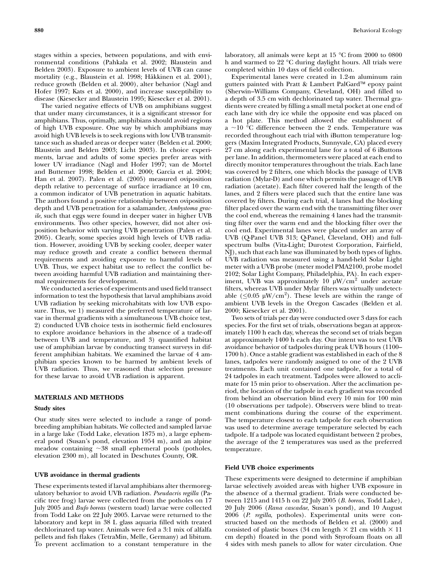stages within a species, between populations, and with environmental conditions (Pahkala et al. 2002; Blaustein and Belden 2003). Exposure to ambient levels of UVB can cause mortality (e.g., Blaustein et al. 1998; Häkkinen et al. 2001), reduce growth (Belden et al. 2000), alter behavior (Nagl and Hofer 1997; Kats et al. 2000), and increase susceptibility to disease (Kiesecker and Blaustein 1995; Kiesecker et al. 2001).

The varied negative effects of UVB on amphibians suggest that under many circumstances, it is a significant stressor for amphibians. Thus, optimally, amphibians should avoid regions of high UVB exposure. One way by which amphibians may avoid high UVB levels is to seek regions with low UVB transmittance such as shaded areas or deeper water (Belden et al. 2000; Blaustein and Belden 2003; Licht 2003). In choice experiments, larvae and adults of some species prefer areas with lower UV irradiance (Nagl and Hofer 1997; van de Mortel and Buttemer 1998; Belden et al. 2000; Garcia et al. 2004; Han et al. 2007). Palen et al. (2005) measured oviposition depth relative to percentage of surface irradiance at 10 cm, a common indicator of UVB penetration in aquatic habitats. The authors found a positive relationship between oviposition depth and UVB penetration for a salamander, Ambystoma gracile, such that eggs were found in deeper water in higher UVB environments. Two other species, however, did not alter oviposition behavior with varying UVB penetration (Palen et al. 2005). Clearly, some species avoid high levels of UVB radiation. However, avoiding UVB by seeking cooler, deeper water may reduce growth and create a conflict between thermal requirements and avoiding exposure to harmful levels of UVB. Thus, we expect habitat use to reflect the conflict between avoiding harmful UVB radiation and maintaining thermal requirements for development.

We conducted a series of experiments and used field transect information to test the hypothesis that larval amphibians avoid UVB radiation by seeking microhabitats with low UVB exposure. Thus, we 1) measured the preferred temperature of larvae in thermal gradients with a simultaneous UVB choice test, 2) conducted UVB choice tests in isothermic field enclosures to explore avoidance behaviors in the absence of a trade-off between UVB and temperature, and 3) quantified habitat use of amphibian larvae by conducting transect surveys in different amphibian habitats. We examined the larvae of 4 amphibian species known to be harmed by ambient levels of UVB radiation. Thus, we reasoned that selection pressure for these larvae to avoid UVB radiation is apparent.

# MATERIALS AND METHODS

### Study sites

Our study sites were selected to include a range of pondbreeding amphibian habitats. We collected and sampled larvae in a large lake (Todd Lake, elevation 1875 m), a large ephemeral pond (Susan's pond, elevation 1954 m), and an alpine meadow containing  $\sim$  38 small ephemeral pools (potholes, elevation 2300 m), all located in Deschutes County, OR.

## UVB avoidance in thermal gradients

These experiments tested if larval amphibians alter thermoregulatory behavior to avoid UVB radiation. Pseudacris regilla (Pacific tree frog) larvae were collected from the potholes on 17 July 2005 and Bufo boreas (western toad) larvae were collected from Todd Lake on 22 July 2005. Larvae were returned to the laboratory and kept in 38 L glass aquaria filled with treated dechlorinated tap water. Animals were fed a 3:1 mix of alfalfa pellets and fish flakes (TetraMin, Melle, Germany) ad libitum. To prevent acclimation to a constant temperature in the

laboratory, all animals were kept at 15 °C from 2000 to 0800 h and warmed to 22 °C during daylight hours. All trials were completed within 10 days of field collection.

Experimental lanes were created in 1.2-m aluminum rain gutters painted with Pratt & Lambert PalGard™ epoxy paint (Sherwin–Williams Company, Cleveland, OH) and filled to a depth of 3.5 cm with dechlorinated tap water. Thermal gradients were created by filling a small metal pocket at one end of each lane with dry ice while the opposite end was placed on a hot plate. This method allowed the establishment of a  $\sim$ 10 °C difference between the 2 ends. Temperature was recorded throughout each trial with iButton temperature loggers (Maxim Integrated Products, Sunnyvale, CA) placed every 27 cm along each experimental lane for a total of 6 iButtons per lane. In addition, thermometers were placed at each end to directly monitor temperatures throughout the trials. Each lane was covered by 2 filters, one which blocks the passage of UVB radiation (Mylar-D) and one which permits the passage of UVB radiation (acetate). Each filter covered half the length of the lanes, and 2 filters were placed such that the entire lane was covered by filters. During each trial, 4 lanes had the blocking filter placed over the warm end with the transmitting filter over the cool end, whereas the remaining 4 lanes had the transmitting filter over the warm end and the blocking filter over the cool end. Experimental lanes were placed under an array of UVB (Q-Panel UVB 313; Q-Panel, Cleveland, OH) and fullspectrum bulbs (Vita-Light; Durotest Corporation, Fairfield, NJ), such that each lane was illuminated by both types of lights. UVB radiation was measured using a hand-held Solar Light meter with a UVB probe (meter model PMA2100, probe model 2102; Solar Light Company, Philadelphia, PA). In each experiment, UVB was approximately  $10 \mu W/cm^2$  under acetate filters, whereas UVB under Mylar filters was virtually undetectable ( $\leq 0.05$   $\mu$ W/cm<sup>2</sup>). These levels are within the range of ambient UVB levels in the Oregon Cascades (Belden et al. 2000; Kiesecker et al. 2001).

Two sets of trials per day were conducted over 3 days for each species. For the first set of trials, observations began at approximately 1100 h each day, whereas the second set of trials began at approximately 1400 h each day. Our intent was to test UVB avoidance behavior of tadpoles during peak UVB hours (1100– 1700 h). Once a stable gradient was established in each of the 8 lanes, tadpoles were randomly assigned to one of the 2 UVB treatments. Each unit contained one tadpole, for a total of 24 tadpoles in each treatment. Tadpoles were allowed to acclimate for 15 min prior to observation. After the acclimation period, the location of the tadpole in each gradient was recorded from behind an observation blind every 10 min for 100 min (10 observations per tadpole). Observers were blind to treatment combinations during the course of the experiment. The temperature closest to each tadpole for each observation was used to determine average temperature selected by each tadpole. If a tadpole was located equidistant between 2 probes, the average of the 2 temperatures was used as the preferred temperature.

# Field UVB choice experiments

These experiments were designed to determine if amphibian larvae selectively avoided areas with higher UVB exposure in the absence of a thermal gradient. Trials were conducted between 1215 and 1415 h on 22 July 2005 (B. boreas, Todd Lake), 20 July 2006 (Rana cascadae, Susan's pond), and 10 August 2006 (P. regilla, potholes). Experimental units were constructed based on the methods of Belden et al. (2000) and consisted of plastic boxes (34 cm length  $\times$  21 cm width  $\times$  11 cm depth) floated in the pond with Styrofoam floats on all 4 sides with mesh panels to allow for water circulation. One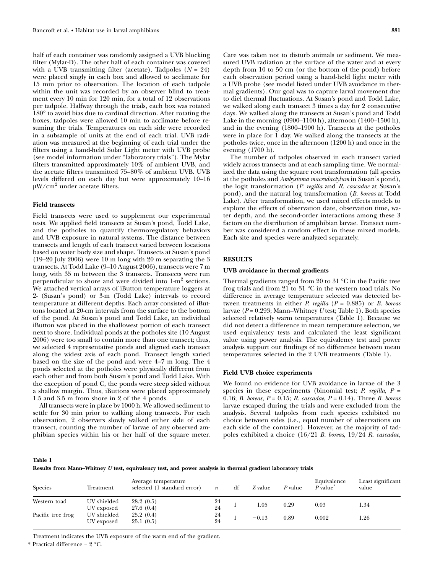half of each container was randomly assigned a UVB blocking filter (Mylar-D). The other half of each container was covered with a UVB transmitting filter (acetate). Tadpoles  $(N = 24)$ were placed singly in each box and allowed to acclimate for 15 min prior to observation. The location of each tadpole within the unit was recorded by an observer blind to treatment every 10 min for 120 min, for a total of 12 observations per tadpole. Halfway through the trials, each box was rotated 180° to avoid bias due to cardinal direction. After rotating the boxes, tadpoles were allowed 10 min to acclimate before resuming the trials. Temperatures on each side were recorded in a subsample of units at the end of each trial. UVB radiation was measured at the beginning of each trial under the filters using a hand-held Solar Light meter with UVB probe (see model information under ''laboratory trials''). The Mylar filters transmitted approximately 10% of ambient UVB, and the acetate filters transmitted 75–80% of ambient UVB. UVB levels differed on each day but were approximately 10–16  $\mu$ W/cm<sup>2</sup> under acetate filters.

# Field transects

Field transects were used to supplement our experimental tests. We applied field transects at Susan's pond, Todd Lake, and the potholes to quantify thermoregulatory behaviors and UVB exposure in natural systems. The distance between transects and length of each transect varied between locations based on water body size and shape. Transects at Susan's pond (19–20 July 2006) were 10 m long with 20 m separating the 3 transects. At Todd Lake (9–10 August 2006), transects were 7 m long, with 35 m between the 3 transects. Transects were run perpendicular to shore and were divided into 1-m<sup>2</sup> sections. We attached vertical arrays of iButton temperature loggers at 2- (Susan's pond) or 3-m (Todd Lake) intervals to record temperature at different depths. Each array consisted of iButtons located at 20-cm intervals from the surface to the bottom of the pond. At Susan's pond and Todd Lake, an individual iButton was placed in the shallowest portion of each transect next to shore. Individual ponds at the potholes site (10 August 2006) were too small to contain more than one transect; thus, we selected 4 representative ponds and aligned each transect along the widest axis of each pond. Transect length varied based on the size of the pond and were 4–7 m long. The 4 ponds selected at the potholes were physically different from each other and from both Susan's pond and Todd Lake. With the exception of pond C, the ponds were steep sided without a shallow margin. Thus, iButtons were placed approximately 1.5 and 3.5 m from shore in 2 of the 4 ponds.

All transects were in place by 1000 h. We allowed sediment to settle for 30 min prior to walking along transects. For each observation, 2 observers slowly walked either side of each transect, counting the number of larvae of any observed amphibian species within his or her half of the square meter. Care was taken not to disturb animals or sediment. We measured UVB radiation at the surface of the water and at every depth from 10 to 50 cm (or the bottom of the pond) before each observation period using a hand-held light meter with a UVB probe (see model listed under UVB avoidance in thermal gradients). Our goal was to capture larval movement due to diel thermal fluctuations. At Susan's pond and Todd Lake, we walked along each transect 3 times a day for 2 consecutive days. We walked along the transects at Susan's pond and Todd Lake in the morning (0900–1100 h), afternoon (1400–1500 h), and in the evening (1800–1900 h). Transects at the potholes were in place for 1 day. We walked along the transects at the potholes twice, once in the afternoon (1200 h) and once in the evening (1700 h).

The number of tadpoles observed in each transect varied widely across transects and at each sampling time. We normalized the data using the square root transformation (all species at the potholes and Ambystoma macrodactylum in Susan's pond), the logit transformation (P. regilla and R. cascadae at Susan's pond), and the natural log transformation (B. boreas at Todd Lake). After transformation, we used mixed effects models to explore the effects of observation date, observation time, water depth, and the second-order interactions among these 3 factors on the distribution of amphibian larvae. Transect number was considered a random effect in these mixed models. Each site and species were analyzed separately.

#### RESULTS

#### UVB avoidance in thermal gradients

Thermal gradients ranged from 20 to 31  $^{\circ}$ C in the Pacific tree frog trials and from  $21$  to  $31 °C$  in the western toad trials. No difference in average temperature selected was detected between treatments in either *P. regilla* ( $P = 0.885$ ) or *B. boreas* larvae ( $P = 0.293$ ; Mann–Whitney U test; Table 1). Both species selected relatively warm temperatures (Table 1). Because we did not detect a difference in mean temperature selection, we used equivalency tests and calculated the least significant value using power analysis. The equivalency test and power analysis support our findings of no difference between mean temperatures selected in the 2 UVB treatments (Table 1).

# Field UVB choice experiments

We found no evidence for UVB avoidance in larvae of the 3 species in these experiments (binomial test; P. regilla,  $P =$ 0.16; B. boreas,  $P = 0.15$ ; R. cascadae,  $P = 0.14$ ). Three B. boreas larvae escaped during the trials and were excluded from the analysis. Several tadpoles from each species exhibited no choice between sides (i.e., equal number of observations on each side of the container). However, as the majority of tadpoles exhibited a choice (16/21 B. boreas, 19/24 R. cascadae,

## Table 1

Results from Mann–Whitney *U* test, equivalency test, and power analysis in thermal gradient laboratory trials

| <b>Species</b>    | Treatment                 | Average temperature<br>selected (1 standard error) | $\boldsymbol{n}$ | df | Z value       | P value | Equivalence<br>P value | Least significant<br>value |
|-------------------|---------------------------|----------------------------------------------------|------------------|----|---------------|---------|------------------------|----------------------------|
| Western toad      | UV shielded<br>UV exposed | 28.2(0.5)<br>27.6(0.4)                             | 24<br>24         |    | $_{\rm 1.05}$ | 0.29    | 0.03                   | 1.34                       |
| Pacific tree frog | UV shielded<br>UV exposed | 25.2(0.4)<br>25.1(0.5)                             | 24<br>24         |    | $-0.13$       | 0.89    | 0.002                  | 1.26                       |

Treatment indicates the UVB exposure of the warm end of the gradient.

 $*$  Practical difference = 2  $^{\circ}$ C.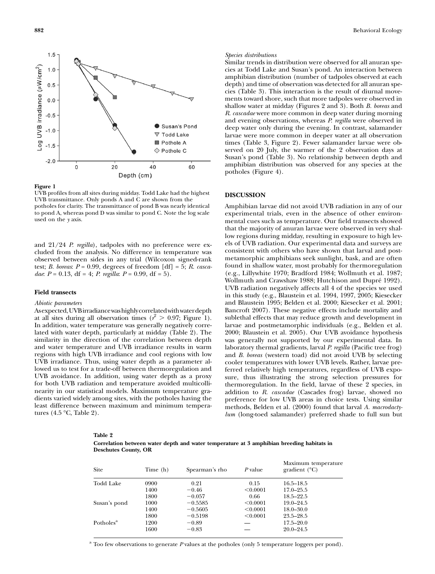

#### Figure 1

UVB profiles from all sites during midday. Todd Lake had the highest UVB transmittance. Only ponds A and C are shown from the potholes for clarity. The transmittance of pond B was nearly identical to pond A, whereas pond D was similar to pond C. Note the log scale used on the y axis.

and  $21/24$  P. regilla), tadpoles with no preference were excluded from the analysis. No difference in temperature was observed between sides in any trial (Wilcoxon signed-rank test; B. boreas:  $P = 0.99$ , degrees of freedom [df] = 5; R. cascadae:  $P = 0.13$ , df = 4; P. regilla:  $P = 0.99$ , df = 5).

# Field transects

# Abiotic parameters

Asexpected,UVBirradiancewashighlycorrelatedwithwaterdepth at all sites during all observation times ( $r^2 > 0.97$ ; Figure 1). In addition, water temperature was generally negatively correlated with water depth, particularly at midday (Table 2). The similarity in the direction of the correlation between depth and water temperature and UVB irradiance results in warm regions with high UVB irradiance and cool regions with low UVB irradiance. Thus, using water depth as a parameter allowed us to test for a trade-off between thermoregulation and UVB avoidance. In addition, using water depth as a proxy for both UVB radiation and temperature avoided multicollinearity in our statistical models. Maximum temperature gradients varied widely among sites, with the potholes having the least difference between maximum and minimum temperatures  $(4.5 \text{ °C}, \text{Table 2}).$ 

## Species distributions

Similar trends in distribution were observed for all anuran species at Todd Lake and Susan's pond. An interaction between amphibian distribution (number of tadpoles observed at each depth) and time of observation was detected for all anuran species (Table 3). This interaction is the result of diurnal movements toward shore, such that more tadpoles were observed in shallow water at midday (Figures 2 and 3). Both B. boreas and R. cascadae were more common in deep water during morning and evening observations, whereas P. regilla were observed in deep water only during the evening. In contrast, salamander larvae were more common in deeper water at all observation times (Table 3, Figure 2). Fewer salamander larvae were observed on 20 July, the warmer of the 2 observation days at Susan's pond (Table 3). No relationship between depth and amphibian distribution was observed for any species at the potholes (Figure 4).

# DISCUSSION

Amphibian larvae did not avoid UVB radiation in any of our experimental trials, even in the absence of other environmental cues such as temperature. Our field transects showed that the majority of anuran larvae were observed in very shallow regions during midday, resulting in exposure to high levels of UVB radiation. Our experimental data and surveys are consistent with others who have shown that larval and postmetamorphic amphibians seek sunlight, bask, and are often found in shallow water, most probably for thermoregulation (e.g., Lillywhite 1970; Bradford 1984; Wollmuth et al. 1987; Wollmuth and Crawshaw 1988; Hutchison and Dupré 1992). UVB radiation negatively affects all 4 of the species we used in this study (e.g., Blaustein et al. 1994, 1997, 2005; Kiesecker and Blaustein 1995; Belden et al. 2000; Kiesecker et al. 2001; Bancroft 2007). These negative effects include mortality and sublethal effects that may reduce growth and development in larvae and postmetamorphic individuals (e.g., Belden et al. 2000; Blaustein et al. 2005). Our UVB avoidance hypothesis was generally not supported by our experimental data. In laboratory thermal gradients, larval P. regilla (Pacific tree frog) and B. boreas (western toad) did not avoid UVB by selecting cooler temperatures with lower UVB levels. Rather, larvae preferred relatively high temperatures, regardless of UVB exposure, thus illustrating the strong selection pressures for thermoregulation. In the field, larvae of these 2 species, in addition to R. cascadae (Cascades frog) larvae, showed no preference for low UVB areas in choice tests. Using similar methods, Belden et al. (2000) found that larval A. macrodactylum (long-toed salamander) preferred shade to full sun but

#### Table 2

Correlation between water depth and water temperature at 3 amphibian breeding habitats in Deschutes County, OR

| <b>Site</b>           | Time (h) | Spearman's rho | P value  | Maximum temperature<br>gradient $(^{\circ}C)$ |
|-----------------------|----------|----------------|----------|-----------------------------------------------|
| <b>Todd Lake</b>      | 0900     | 0.21           | 0.15     | $16.5 - 18.5$                                 |
|                       | 1400     | $-0.46$        | < 0.0001 | $17.0 - 25.5$                                 |
|                       | 1800     | $-0.057$       | 0.66     | $18.5 - 22.5$                                 |
| Susan's pond          | 1000     | $-0.5585$      | < 0.0001 | $19.0 - 24.5$                                 |
|                       | 1400     | $-0.5605$      | < 0.0001 | $18.0 - 30.0$                                 |
|                       | 1800     | $-0.5198$      | < 0.0001 | $23.5 - 28.5$                                 |
| Potholes <sup>a</sup> | 1200     | $-0.89$        |          | $17.5 - 20.0$                                 |
|                       | 1600     | $-0.83$        |          | $20.0 - 24.5$                                 |

 $^a$  Too few observations to generate  $P$  values at the potholes (only 5 temperature loggers per pond).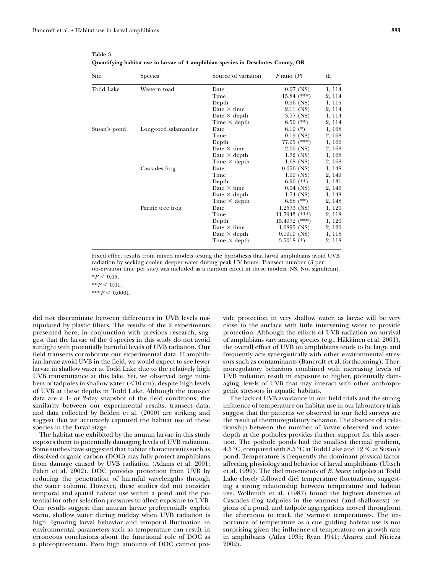| Site         | Species              | Source of variation | $F$ ratio $(P)$ | df     |
|--------------|----------------------|---------------------|-----------------|--------|
| Todd Lake    | Western toad         | Date                | $0.07$ (NS)     | 1, 114 |
|              |                      | Time                | $15.84$ (***)   | 2, 114 |
|              |                      | Depth               | $0.96$ (NS)     | 1, 115 |
|              |                      | Date $\times$ time  | 2.11 (NS)       | 2, 114 |
|              |                      | Date $\times$ depth | 3.77 (NS)       | 1, 114 |
|              |                      | Time $\times$ depth | $6.50$ (**)     | 2, 114 |
| Susan's pond | Long-toed salamander | Date                | 6.19 $(*)$      | 1, 168 |
|              |                      | Time                | $0.19$ (NS)     | 2, 168 |
|              |                      | Depth               | $77.95$ $(***)$ | 1, 166 |
|              |                      | Date $\times$ time  | $2.00$ (NS)     | 2, 168 |
|              |                      | Date $\times$ depth | $1.72$ (NS)     | 1, 168 |
|              |                      | Time $\times$ depth | $1.68$ (NS)     | 2, 168 |
|              | Cascades frog        | Date                | $0.056$ (NS)    | 1, 148 |
|              |                      | Time                | $1.99$ (NS)     | 2, 149 |
|              |                      | Depth               | 6.90 $(**)$     | 1, 131 |
|              |                      | Date $\times$ time  | $0.04$ (NS)     | 2, 146 |
|              |                      | Date $\times$ depth | $1.74$ (NS)     | 1, 148 |
|              |                      | Time $\times$ depth | 6.68 $(**)$     | 2, 148 |
|              | Pacific tree frog    | Date                | $1.2573$ (NS)   | 1, 120 |
|              |                      | Time                | $11.7943$ (***) | 2, 118 |
|              |                      | Depth               | $15.4972$ (***) | 1, 120 |
|              |                      | Date $\times$ time  | $1.0895$ (NS)   | 2, 120 |
|              |                      | Date $\times$ depth | $0.1919$ (NS)   | 1, 118 |
|              |                      | Time $\times$ depth | 3.5018 $(*)$    | 2, 118 |

Table 3 Quantifying habitat use in larvae of 4 amphibian species in Deschutes County, OR

Fixed effect results from mixed models testing the hypothesis that larval amphibians avoid UVB radiation by seeking cooler, deeper water during peak UV hours. Transect number (3 per observation time per site) was included as a random effect in these models. NS, Not significant.  $*P < 0.05$ .

 $*$  $P < 0.01$ .

 $***P < 0.0001$ .

did not discriminate between differences in UVB levels manipulated by plastic filters. The results of the 2 experiments presented here, in conjunction with previous research, suggest that the larvae of the 4 species in this study do not avoid sunlight with potentially harmful levels of UVB radiation. Our field transects corroborate our experimental data. If amphibian larvae avoid UVB in the field, we would expect to see fewer larvae in shallow water at Todd Lake due to the relatively high UVB transmittance at this lake. Yet, we observed large numbers of tadpoles in shallow water  $(<10 \text{ cm})$ , despite high levels of UVB at these depths in Todd Lake. Although the transect data are a 1- or 2-day snapshot of the field conditions, the similarity between our experimental results, transect data, and data collected by Belden et al. (2000) are striking and suggest that we accurately captured the habitat use of these species in the larval stage.

The habitat use exhibited by the anuran larvae in this study exposes them to potentially damaging levels of UVB radiation. Some studies have suggested that habitat characteristics such as dissolved organic carbon (DOC) may fully protect amphibians from damage caused by UVB radiation (Adams et al. 2001; Palen et al. 2002). DOC provides protection from UVB by reducing the penetration of harmful wavelengths through the water column. However, these studies did not consider temporal and spatial habitat use within a pond and the potential for other selection pressures to affect exposure to UVB. Our results suggest that anuran larvae preferentially exploit warm, shallow water during midday when UVB radiation is high. Ignoring larval behavior and temporal fluctuation in environmental parameters such as temperature can result in erroneous conclusions about the functional role of DOC as a photoprotectant. Even high amounts of DOC cannot provide protection in very shallow water, as larvae will be very close to the surface with little intervening water to provide protection. Although the effects of UVB radiation on survival of amphibians vary among species (e.g., Häkkinen et al. 2001), the overall effect of UVB on amphibians tends to be large and frequently acts synergistically with other environmental stressors such as contaminants (Bancroft et al. forthcoming). Thermoregulatory behaviors combined with increasing levels of UVB radiation result in exposure to higher, potentially damaging, levels of UVB that may interact with other anthropogenic stressors in aquatic habitats.

The lack of UVB avoidance in our field trials and the strong influence of temperature on habitat use in our laboratory trials suggest that the patterns we observed in our field surveys are the result of thermoregulatory behavior. The absence of a relationship between the number of larvae observed and water depth at the potholes provides further support for this assertion. The pothole ponds had the smallest thermal gradient, 4.5 °C, compared with 8.5 °C at Todd Lake and 12 °C at Susan's pond. Temperature is frequently the dominant physical factor affecting physiology and behavior of larval amphibians (Ultsch et al. 1999). The diel movements of B. boreas tadpoles at Todd Lake closely followed diel temperature fluctuations, suggesting a strong relationship between temperature and habitat use. Wollmuth et al. (1987) found the highest densities of Cascades frog tadpoles in the warmest (and shallowest) regions of a pond, and tadpole aggregations moved throughout the afternoon to track the warmest temperatures. The importance of temperature as a cue guiding habitat use is not surprising given the influence of temperature on growth rate in amphibians (Atlas 1935; Ryan 1941; Álvarez and Nicieza 2002).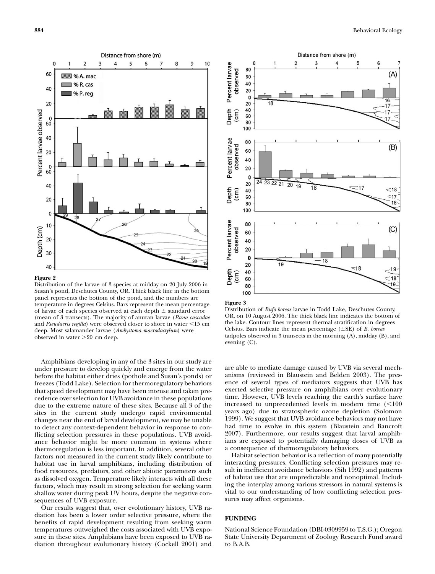

Figure 2

Distribution of the larvae of 3 species at midday on 20 July 2006 in Susan's pond, Deschutes County, OR. Thick black line in the bottom panel represents the bottom of the pond, and the numbers are temperature in degrees Celsius. Bars represent the mean percentage of larvae of each species observed at each depth  $\pm$  standard error (mean of 3 transects). The majority of anuran larvae (Rana cascadae and Pseudacris regilla) were observed closer to shore in water  $\leq 15$  cm deep. Most salamander larvae (Ambystoma macrodactylum) were observed in water  $>20$  cm deep.

Amphibians developing in any of the 3 sites in our study are under pressure to develop quickly and emerge from the water before the habitat either dries (pothole and Susan's ponds) or freezes (Todd Lake). Selection for thermoregulatory behaviors that speed development may have been intense and taken precedence over selection for UVB avoidance in these populations due to the extreme nature of these sites. Because all 3 of the sites in the current study undergo rapid environmental changes near the end of larval development, we may be unable to detect any context-dependent behavior in response to conflicting selection pressures in these populations. UVB avoidance behavior might be more common in systems where thermoregulation is less important. In addition, several other factors not measured in the current study likely contribute to habitat use in larval amphibians, including distribution of food resources, predators, and other abiotic parameters such as dissolved oxygen. Temperature likely interacts with all these factors, which may result in strong selection for seeking warm shallow water during peak UV hours, despite the negative consequences of UVB exposure.

Our results suggest that, over evolutionary history, UVB radiation has been a lower order selective pressure, where the benefits of rapid development resulting from seeking warm temperatures outweighed the costs associated with UVB exposure in these sites. Amphibians have been exposed to UVB radiation throughout evolutionary history (Cockell 2001) and





Distribution of Bufo boreas larvae in Todd Lake, Deschutes County, OR, on 10 August 2006. The thick black line indicates the bottom of the lake. Contour lines represent thermal stratification in degrees Celsius. Bars indicate the mean percentage  $(\pm SE)$  of B. boreas tadpoles observed in 3 transects in the morning (A), midday (B), and evening (C).

are able to mediate damage caused by UVB via several mechanisms (reviewed in Blaustein and Belden 2003). The presence of several types of mediators suggests that UVB has exerted selective pressure on amphibians over evolutionary time. However, UVB levels reaching the earth's surface have increased to unprecedented levels in modern time  $(<100$ years ago) due to stratospheric ozone depletion (Solomon 1999). We suggest that UVB avoidance behaviors may not have had time to evolve in this system (Blaustein and Bancroft 2007). Furthermore, our results suggest that larval amphibians are exposed to potentially damaging doses of UVB as a consequence of thermoregulatory behaviors.

Habitat selection behavior is a reflection of many potentially interacting pressures. Conflicting selection pressures may result in inefficient avoidance behaviors (Sih 1992) and patterns of habitat use that are unpredictable and nonoptimal. Including the interplay among various stressors in natural systems is vital to our understanding of how conflicting selection pressures may affect organisms.

# FUNDING

National Science Foundation (DBI-0309959 to T.S.G.); Oregon State University Department of Zoology Research Fund award to B.A.B.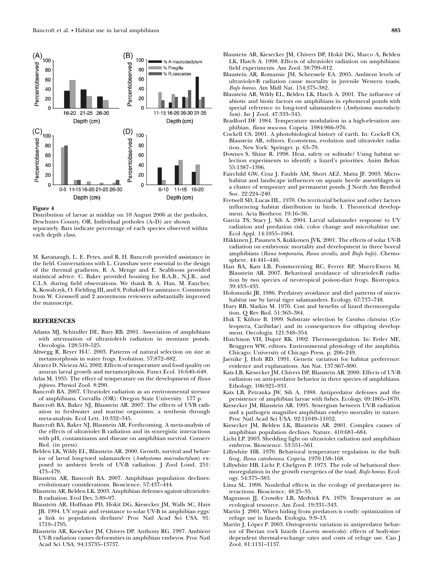

# Figure 4

Distribution of larvae at midday on 10 August 2006 at the potholes, Deschutes County, OR. Individual potholes (A–D) are shown separately. Bars indicate percentage of each species observed within each depth class.

M. Kavanaugh, L. E. Petes, and R. H. Bancroft provided assistance in the field. Conversations with L. Crawshaw were essential to the design of the thermal gradients. B. A. Menge and E. Seabloom provided statistical advice. C. Baker provided housing for B.A.B., N.J.B., and C.L.S. during field observations. We thank B. A. Han, M. Fancher, K. Kowalczyk, O. Fielding III, and S. Poliakoff for assistance. Comments from W. Cresswell and 2 anonymous reviewers substantially improved the manuscript.

# REFERENCES

- Adams MJ, Schindler DE, Bury RB. 2001. Association of amphibians with attenuation of ultraviolet-b radiation in montane ponds. Oecologia. 128:519–525.
- Altwegg R, Reyer H-U. 2003. Patterns of natural selection on size at metamorphosis in water frogs. Evolution. 57:872–882.
- A´lvarez D, Nicieza AG. 2002. Effects of temperature and food quality on anuran larval growth and metamorphosis. Funct Ecol. 16:640–648.
- Atlas M. 1935. The effect of temperature on the development of Rana pipiens. Physiol Zool. 8:290.
- Bancroft BA. 2007. Ultraviolet radiation as an environmental stressor of amphibians. Corvallis (OR): Oregon State University. 177 p.
- Bancroft BA, Baker NJ, Blaustein AR. 2007. The effects of UVB radiation in freshwater and marine organisms: a synthesis through meta-analysis. Ecol Lett. 10:332–345.
- Bancroft BA, Baker NJ, Blaustein AR. Forthcoming. A meta-analysis of the effects of ultraviolet B radiation and its synergistic interactions with pH, contaminants and disease on amphibian survival. Conserv Biol. (in press).
- Belden LK, Wildy EL, Blaustein AR. 2000. Growth, survival and behavior of larval long-toed salamanders (Ambystoma macrodactylum) exposed to ambient levels of UV-B radiation. J Zool Lond. 251: 473–479.
- Blaustein AR, Bancroft BA. 2007. Amphibian population declines: evolutionary considerations. Bioscience. 57:437–444.
- Blaustein AR, Belden LK. 2003. Amphibian defenses against ultraviolet-B radiation. Evol Dev. 5:89–97.
- Blaustein AR, Hoffman PD, Hokit DG, Kiesecker JM, Walls SC, Hays JB. 1994. UV repair and resistance to solar UV-B in amphibian eggs: a link to population declines? Proc Natl Acad Sci USA. 91: 1719–1795.
- Blaustein AR, Kiesecker JM, Chivers DP, Anthony RG. 1997. Ambient UV-B radiation causes deformities in amphibian embryos. Proc Natl Acad Sci USA. 94:13735–13737.
- Blaustein AR, Romansic JM, Scheessele EA. 2005. Ambient levels of ultraviolet-B radiation cause mortality in juvenile Western toads, Bufo boreas. Am Midl Nat. 154:375–382.
- Blaustein AR, Wildy EL, Belden LK, Hatch A. 2001. The influence of abiotic and biotic factors on amphibians in ephemeral ponds with special reference to long-toed salamanders (Ambystoma macrodactylum). Isr J Zool. 47:333-345.
- Bradford DF. 1984. Temperature modulation in a high-elevation amphibian, Rana muscosa. Copeia. 1984:966–976.
- Cockell CS. 2001. A photobiological history of earth. In: Cockell CS, Blaustein AR, editors. Ecosystems, evolution and ultraviolet radiation. New York: Springer. p. 63–79.
- Downes S, Shine R. 1998. Heat, safety or solitude? Using habitat selection experiments to identify a lizard's priorities. Anim Behav. 55:1387–1396.
- Fairchild GW, Cruz J, Faulds AM, Short AEZ, Matta JF. 2003. Microhabitat and landscape influences on aquatic beetle assemblages in a cluster of temporary and permanent ponds. J North Am Benthol Soc. 22:224–240.
- Fretwell SD, Lucas HL. 1970. On territorial behavior and other factors influencing habitat distribution in birds. I. Theoretical development. Acta Biotheor. 19:16–36.
- Garcia TS, Stacy J, Sih A. 2004. Larval salamander response to UV radiation and predation risk: color change and microhabitat use. Ecol Appl. 14:1055–1064.
- Häkkinen J, Pasanen S, Kukkonen JVK. 2001. The effects of solar UV-B radiation on embryonic mortality and development in three boreal amphibians (Rana temporaria, Rana arvalis, and Bufo bufo). Chemosphere. 44:441–446.
- Han BA, Kats LB, Pommerening RC, Ferrer RP, Murry-Ewers M, Blaustein AR. 2007. Behavioral avoidance of ultraviolet-B radiation by two species of neotropical poison-dart frogs. Biotropica. 39:433–435.
- Holomuzki JR. 1986. Predatory avoidance and diel patterns of microhabitat use by larval tiger salamanders. Ecology. 67:737–748.
- Huey RB, Slatkin M. 1976. Cost and benefits of lizard thermoregulation. Q Rev Biol. 51:363–384.
- Huk T, Kühne B. 1999. Substrate selection by Carabus clatratus (Coleoptera, Caribidae) and its consequences for offspring development. Oecologia. 121:348–354.
- Hutchison VH, Dupré RK. 1992. Thermoregulation. In: Feder ME, Bruggren WW, editors. Environmental physiology of the amphibia. Chicago: University of Chicago Press. p. 206–249.
- Jaenike J, Holt RD. 1991. Genetic variation for habitat preference: evidence and explanations. Am Nat. 137:S67–S90.
- Kats LB, Kiesecker JM, Chivers DP, Blaustein AR. 2000. Effects of UV-B radiation on anti-predator behavior in three species of amphibians. Ethology. 106:921–931.
- Kats LB, Petranka JW, Sih A. 1988. Antipredator defenses and the persistence of amphibian larvae with fishes. Ecology. 69:1865–1870.
- Kiesecker JM, Blaustein AR. 1995. Synergism between UV-B radiation and a pathogen magnifies amphibian embryo mortality in nature. Proc Natl Acad Sci USA. 92:11049–11052.
- Kiesecker JM, Belden LK, Blaustein AR. 2001. Complex causes of amphibian population declines. Nature. 410:681–684.
- Licht LP. 2003. Shedding light on ultraviolet radiation and amphibian embryos. Bioscience. 53:551–561.
- Lillywhite HB. 1970. Behavioral temperature regulation in the bullfrog, Rana catesbeiana. Copeia. 1970:158–168.
- Lillywhite HB, Licht P, Chelgren P. 1973. The role of behavioral thermoregulation in the growth energetics of the toad, Bufo boreas. Ecology. 54:375–383.
- Lima SL. 1998. Nonlethal effects in the ecology of predator-prey interactions. Bioscience. 48:25–35.
- Magnuson JJ, Crowder LB, Medvick PA. 1979. Temperature as an ecological resource. Am Zool. 19:331–343.
- Martín J. 2001. When hiding from predators is costly: optimization of refuge use in lizards. Etologia. 9:9–13.
- Martín J, López P. 2003. Ontogenetic variation in antipredator behavior of Iberian rock lizards (Lacerta monticola): effects of body-sizedependent thermal-exchange rates and costs of refuge use. Can J Zool. 81:1131–1137.